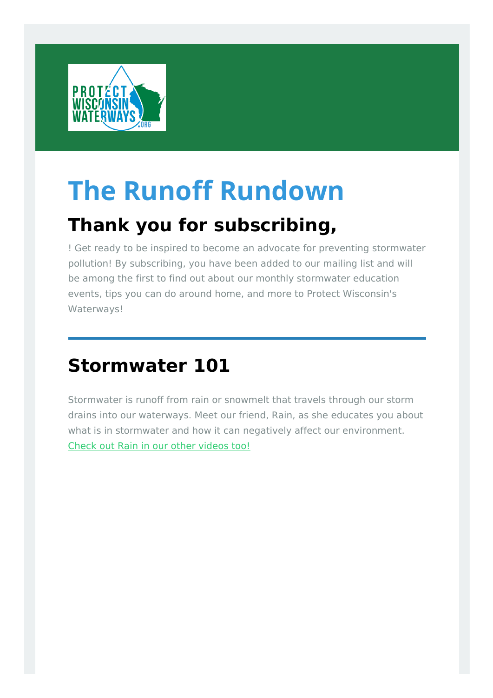

# **The Runoff Rundown**

# **Thank you for subscribing,**

! Get ready to be inspired to become an advocate for preventing stormwater pollution! By subscribing, you have been added to our mailing list and will be among the first to find out about our monthly stormwater education events, tips you can do around home, and more to Protect Wisconsin's Waterways!

# **[Stormwater](http://protectwiwaterways.org/learn-about-stormwater/?&utm_source=newsletter&utm_medium=email&utm_campaign=the_runoff_rundown_issue_1&utm_term=2017-10-09) 101**

Stormwater is runoff from rain or snowmelt that travels through our storm drains into our waterways. Meet our friend, Rain, as she educates you about what is in stormwater and how it can negatively affect our environment. Check out Rain in our other [videos](https://www.youtube.com/channel/UC9Spf-qnNTPHPdORwnUoNkQ) too!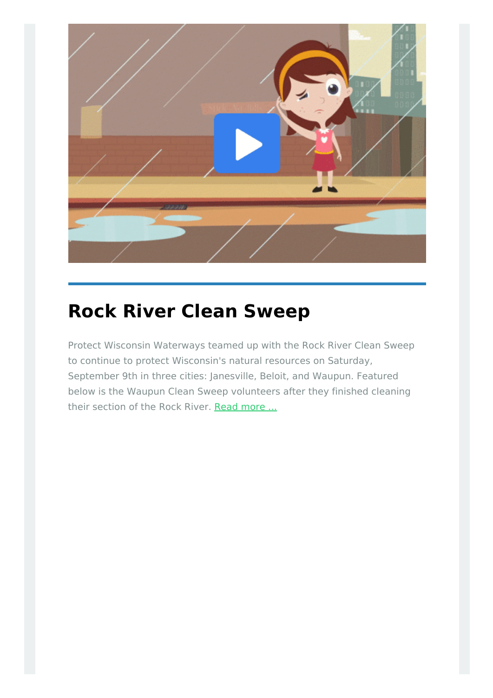

## **Rock River Clean [Sweep](http://protectwiwaterways.org/rock-river-clean-sweep-2017/?&utm_source=newsletter&utm_medium=email&utm_campaign=the_runoff_rundown_issue_1&utm_term=2017-10-09)**

Protect Wisconsin Waterways teamed up with the Rock River Clean Sweep to continue to protect Wisconsin's natural resources on Saturday, September 9th in three cities: Janesville, Beloit, and Waupun. Featured below is the Waupun Clean Sweep volunteers after they finished cleaning their section of the Rock River. Read [more](http://protectwiwaterways.org/rock-river-clean-sweep-2017/?&utm_source=newsletter&utm_medium=email&utm_campaign=the_runoff_rundown_issue_1&utm_term=2017-10-09) ...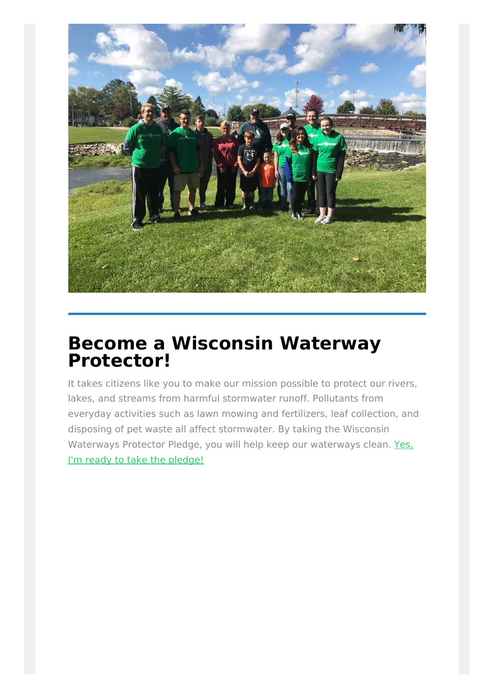

### **Become a Wisconsin Waterway [Protector!](http://protectwiwaterways.org/pledge/?&utm_source=newsletter&utm_medium=email&utm_campaign=the_runoff_rundown_issue_1&utm_term=2017-10-09)**

It takes citizens like you to make our mission possible to protect our rivers, lakes, and streams from harmful stormwater runoff. Pollutants from everyday activities such as lawn mowing and fertilizers, leaf collection, and disposing of pet waste all affect stormwater. By taking the Wisconsin [Waterways](http://protectwiwaterways.org/pledge/?&utm_source=newsletter&utm_medium=email&utm_campaign=the_runoff_rundown_issue_1&utm_term=2017-10-09) Protector Pledge, you will help keep our waterways clean. Yes. I'm ready to take the pledge!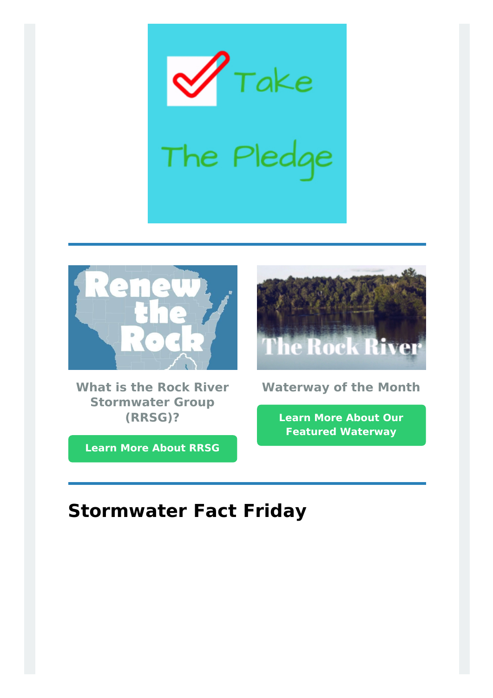$r_{\tau$ ake The Pledge



**What is the Rock River Stormwater Group (RRSG)?**

**Learn More [About](http://protectwiwaterways.org/about/?&utm_source=newsletter&utm_medium=email&utm_campaign=the_runoff_rundown_issue_1&utm_term=2017-10-09) RRSG**



**Waterway of the Month**

**Learn More About Our Featured [Waterway](http://protectwiwaterways.org/lower-upper-rock/?&utm_source=newsletter&utm_medium=email&utm_campaign=the_runoff_rundown_issue_1&utm_term=2017-10-09)**

## **Stormwater Fact Friday**